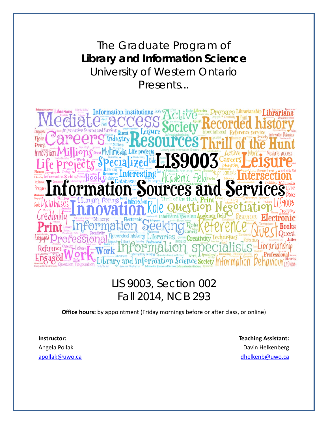The Graduate Program of **Library and Information Science**  University of Western Ontario Presents...

ormation institutions Rok reativity Tec and Information Science Society

# LIS 9003, Section 002 Fall 2014, NCB 293

**Office hours:** by appointment (Friday mornings before or after class, or online)

**Instructor:** Angela Pollak

**Teaching Assistant:** Davin Helkenberg apollak@uwo.ca dhelkenb@uwo.ca dhelkenb@uwo.ca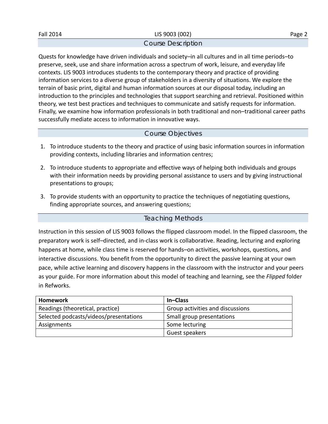#### Course Description

Quests for knowledge have driven individuals and society–in all cultures and in all time periods–to preserve, seek, use and share information across a spectrum of work, leisure, and everyday life contexts. LIS 9003 introduces students to the contemporary theory and practice of providing information services to a diverse group of stakeholders in a diversity of situations. We explore the terrain of basic print, digital and human information sources at our disposal today, including an introduction to the principles and technologies that support searching and retrieval. Positioned within theory, we test best practices and techniques to communicate and satisfy requests for information. Finally, we examine how information professionals in both traditional and non–traditional career paths successfully mediate access to information in innovative ways.

# Course Objectives

- 1. To introduce students to the theory and practice of using basic information sources in information providing contexts, including libraries and information centres;
- 2. To introduce students to appropriate and effective ways of helping both individuals and groups with their information needs by providing personal assistance to users and by giving instructional presentations to groups;
- 3. To provide students with an opportunity to practice the techniques of negotiating questions, finding appropriate sources, and answering questions;

# Teaching Methods

Instruction in this session of LIS 9003 follows the flipped classroom model. In the flipped classroom, the preparatory work is self–directed, and in‐class work is collaborative. Reading, lecturing and exploring happens at home, while class time is reserved for hands–on activities, workshops, questions, and interactive discussions. You benefit from the opportunity to direct the passive learning at your own pace, while active learning and discovery happens in the classroom with the instructor and your peers as your guide. For more information about this model of teaching and learning, see the *Flipped* folder in Refworks.

| Homework                               | In-Class                         |
|----------------------------------------|----------------------------------|
| Readings (theoretical, practice)       | Group activities and discussions |
| Selected podcasts/videos/presentations | Small group presentations        |
| Assignments                            | Some lecturing                   |
|                                        | Guest speakers                   |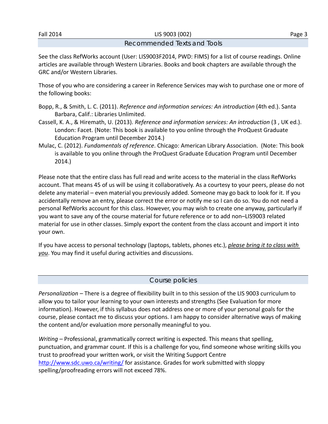Fall 2014 LIS 9003 (002) Page 3

### Recommended Texts and Tools

See the class RefWorks account (User: LIS9003F2014, PWD: FIMS) for a list of course readings. Online articles are available through Western Libraries. Books and book chapters are available through the GRC and/or Western Libraries.

Those of you who are considering a career in Reference Services may wish to purchase one or more of the following books:

- Bopp, R., & Smith, L. C. (2011). *Reference and information services: An introduction* (4th ed.). Santa Barbara, Calif.: Libraries Unlimited.
- Cassell, K. A., & Hiremath, U. (2013). *Reference and information services: An introduction* (3 , UK ed.). London: Facet. (Note: This book is available to you online through the ProQuest Graduate Education Program until December 2014.)
- Mulac, C. (2012). *Fundamentals of reference*. Chicago: American Library Association. (Note: This book is available to you online through the ProQuest Graduate Education Program until December 2014.)

Please note that the entire class has full read and write access to the material in the class RefWorks account. That means 45 of us will be using it collaboratively. As a courtesy to your peers, please do not delete any material – even material you previously added. Someone may go back to look for it. If you accidentally remove an entry, please correct the error or notify me so I can do so. You do not need a personal RefWorks account for this class. However, you may wish to create one anyway, particularly if you want to save any of the course material for future reference or to add non–LIS9003 related material for use in other classes. Simply export the content from the class account and import it into your own.

If you have access to personal technology (laptops, tablets, phones etc.), *please bring it to class with you*. You may find it useful during activities and discussions.

### Course policies

*Personalization –* There is a degree of flexibility built in to this session of the LIS 9003 curriculum to allow you to tailor your learning to your own interests and strengths (See Evaluation for more information). However, if this syllabus does not address one or more of your personal goals for the course, please contact me to discuss your options. I am happy to consider alternative ways of making the content and/or evaluation more personally meaningful to you.

*Writing –* Professional, grammatically correct writing is expected. This means that spelling, punctuation, and grammar count. If this is a challenge for you, find someone whose writing skills you trust to proofread your written work, or visit the Writing Support Centre http://www.sdc.uwo.ca/writing/ for assistance. Grades for work submitted with sloppy spelling/proofreading errors will not exceed 78%.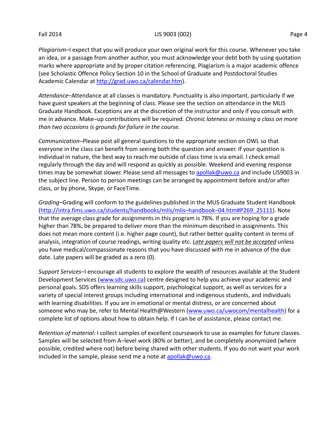#### Fall 2014 LIS 9003 (002) Page 4

*Plagiarism–*I expect that you will produce your own original work for this course. Whenever you take an idea, or a passage from another author, you must acknowledge your debt both by using quotation marks where appropriate and by proper citation referencing. Plagiarism is a major academic offence (see Scholastic Offence Policy Section 10 in the School of Graduate and Postdoctoral Studies Academic Calendar at http://grad.uwo.ca/calendar.htm).

*Attendance*–Attendance at all classes is mandatory. Punctuality is also important, particularly if we have guest speakers at the beginning of class. Please see the section on attendance in the MLIS Graduate Handbook. Exceptions are at the discretion of the instructor and only if you consult with me in advance. Make–up contributions will be required. *Chronic lateness or missing a class on more than two occasions is grounds for failure in the course.*

*Communication*–Please post all general questions to the appropriate section on OWL so that everyone in the class can benefit from seeing both the question and answer. If your question is individual in nature, the best way to reach me outside of class time is via email. I check email regularly through the day and will respond as quickly as possible. Weekend and evening response times may be somewhat slower. Please send all messages to apollak@uwo.ca and include LIS9003 in the subject line. Person to person meetings can be arranged by appointment before and/or after class, or by phone, Skype, or FaceTime.

*Grading–*Grading will conform to the guidelines published in the MLIS Graduate Student Handbook (http://intra.fims.uwo.ca/students/handbooks/mlis/mlis–handbook–04.htm#P269\_25111). Note that the average class grade for assignments in this program is 78%. If you are hoping for a grade higher than 78%, be prepared to deliver more than the minimum described in assignments. This does not mean more content (i.e. higher page count), but rather better quality content in terms of analysis, integration of course readings, writing quality etc. *Late papers will not be accepted* unless you have medical/compassionate reasons that you have discussed with me in advance of the due date. Late papers will be graded as a zero (0).

*Support Services*–I encourage all students to explore the wealth of resources available at the Student Development Services (www.sdc.uwo.ca) centre designed to help you achieve your academic and personal goals. SDS offers learning skills support, psychological support, as well as services for a variety of special interest groups including international and indigenous students, and individuals with learning disabilities. If you are in emotional or mental distress, or are concerned about someone who may be, refer to Mental Health@Western (www.uwo.ca/uwocom/mentalhealth) for a complete list of options about how to obtain help. If I can be of assistance, please contact me.

*Retention of material:* I collect samples of excellent coursework to use as examples for future classes. Samples will be selected from A–level work (80% or better), and be completely anonymized (where possible, credited where not) before being shared with other students. If you do not want your work included in the sample, please send me a note at apollak@uwo.ca.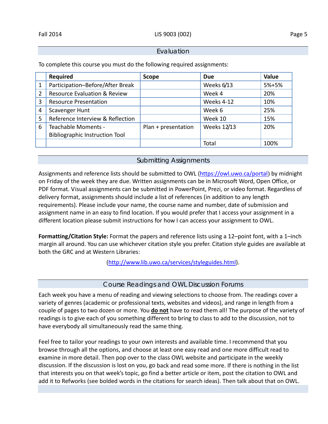#### Evaluation

To complete this course you must do the following required assignments:

|                | <b>Required</b>                       | <b>Scope</b>        | <b>Due</b>  | <b>Value</b> |
|----------------|---------------------------------------|---------------------|-------------|--------------|
| 1              | Participation-Before/After Break      |                     | Weeks 6/13  | 5%+5%        |
| 2              | Resource Evaluation & Review          |                     | Week 4      | 20%          |
| 3              | <b>Resource Presentation</b>          |                     | Weeks 4-12  | 10%          |
| $\overline{4}$ | Scavenger Hunt                        |                     | Week 6      | 25%          |
| 5              | Reference Interview & Reflection      |                     | Week 10     | 15%          |
| 6              | Teachable Moments -                   | Plan + presentation | Weeks 12/13 | 20%          |
|                | <b>Bibliographic Instruction Tool</b> |                     |             |              |
|                |                                       |                     | Total       | 100%         |

# Submitting Assignments

Assignments and reference lists should be submitted to OWL (https://owl.uwo.ca/portal) by midnight on Friday of the week they are due. Written assignments can be in Microsoft Word, Open Office, or PDF format. Visual assignments can be submitted in PowerPoint, Prezi, or video format. Regardless of delivery format, assignments should include a list of references (in addition to any length requirements). Please include your name, the course name and number, date of submission and assignment name in an easy to find location. If you would prefer that I access your assignment in a different location please submit instructions for how I can access your assignment to OWL.

**Formatting/Citation Style:** Format the papers and reference lists using a 12–point font, with a 1–inch margin all around. You can use whichever citation style you prefer. Citation style guides are available at both the GRC and at Western Libraries:

(http://www.lib.uwo.ca/services/styleguides.html).

# Course Readings and OWL Discussion Forums

Each week you have a menu of reading and viewing selections to choose from. The readings cover a variety of genres (academic or professional texts, websites and videos), and range in length from a couple of pages to two dozen or more. You **do not** have to read them all! The purpose of the variety of readings is to give each of you something different to bring to class to add to the discussion, not to have everybody all simultaneously read the same thing.

Feel free to tailor your readings to your own interests and available time. I recommend that you browse through all the options, and choose at least one easy read and one more difficult read to examine in more detail. Then pop over to the class OWL website and participate in the weekly discussion. If the discussion is lost on you, go back and read some more. If there is nothing in the list that interests you on that week's topic, go find a better article or item, post the citation to OWL and add it to Refworks (see bolded words in the citations for search ideas). Then talk about that on OWL.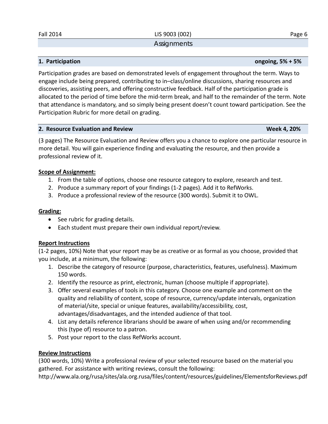**Assignments** 

Participation grades are based on demonstrated levels of engagement throughout the term. Ways to engage include being prepared, contributing to in–class/online discussions, sharing resources and discoveries, assisting peers, and offering constructive feedback. Half of the participation grade is allocated to the period of time before the mid‐term break, and half to the remainder of the term. Note that attendance is mandatory, and so simply being present doesn't count toward participation. See the Participation Rubric for more detail on grading.

#### **2. Resource Evaluation and Review Week 4, 20%**

(3 pages) The Resource Evaluation and Review offers you a chance to explore one particular resource in more detail. You will gain experience finding and evaluating the resource, and then provide a professional review of it.

### **Scope of Assignment:**

- 1. From the table of options, choose one resource category to explore, research and test.
- 2. Produce a summary report of your findings (1‐2 pages). Add it to RefWorks.
- 3. Produce a professional review of the resource (300 words). Submit it to OWL.

# **Grading:**

- See rubric for grading details.
- Each student must prepare their own individual report/review.

### **Report Instructions**

(1‐2 pages, 10%) Note that your report may be as creative or as formal as you choose, provided that you include, at a minimum, the following:

- 1. Describe the category of resource (purpose, characteristics, features, usefulness). Maximum 150 words.
- 2. Identify the resource as print, electronic, human (choose multiple if appropriate).
- 3. Offer several examples of tools in this category. Choose one example and comment on the quality and reliability of content, scope of resource, currency/update intervals, organization of material/site, special or unique features, availability/accessibility, cost, advantages/disadvantages, and the intended audience of that tool.
- 4. List any details reference librarians should be aware of when using and/or recommending this (type of) resource to a patron.
- 5. Post your report to the class RefWorks account.

# **Review Instructions**

(300 words, 10%) Write a professional review of your selected resource based on the material you gathered. For assistance with writing reviews, consult the following:

http://www.ala.org/rusa/sites/ala.org.rusa/files/content/resources/guidelines/ElementsforReviews.pdf

#### **1. Participation ongoing, 5% + 5%**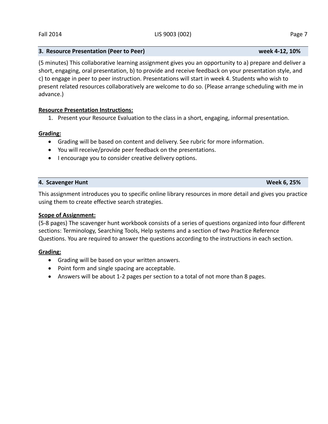#### **3. Resource Presentation (Peer to Peer) week 4‐12, 10%**

(5 minutes) This collaborative learning assignment gives you an opportunity to a) prepare and deliver a short, engaging, oral presentation, b) to provide and receive feedback on your presentation style, and c) to engage in peer to peer instruction. Presentations will start in week 4. Students who wish to present related resources collaboratively are welcome to do so. (Please arrange scheduling with me in advance.)

#### **Resource Presentation Instructions:**

1. Present your Resource Evaluation to the class in a short, engaging, informal presentation.

#### **Grading:**

- Grading will be based on content and delivery. See rubric for more information.
- You will receive/provide peer feedback on the presentations.
- I encourage you to consider creative delivery options.

#### **4. Scavenger Hunt Week 6, 25%**

This assignment introduces you to specific online library resources in more detail and gives you practice using them to create effective search strategies.

#### **Scope of Assignment:**

(5‐8 pages) The scavenger hunt workbook consists of a series of questions organized into four different sections: Terminology, Searching Tools, Help systems and a section of two Practice Reference Questions. You are required to answer the questions according to the instructions in each section.

#### **Grading:**

- Grading will be based on your written answers.
- Point form and single spacing are acceptable.
- Answers will be about 1-2 pages per section to a total of not more than 8 pages.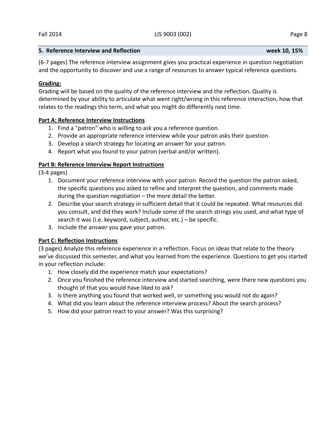### **5. Reference Interview and Reflection week 10, 15%**

(6‐7 pages) The reference interview assignment gives you practical experience in question negotiation and the opportunity to discover and use a range of resources to answer typical reference questions.

### **Grading:**

Grading will be based on the quality of the reference interview and the reflection. Quality is determined by your ability to articulate what went right/wrong in this reference interaction, how that relates to the readings this term, and what you might do differently next time.

### **Part A: Reference Interview Instructions**

- 1. Find a "patron" who is willing to ask you a reference question.
- 2. Provide an appropriate reference interview while your patron asks their question.
- 3. Develop a search strategy for locating an answer for your patron.
- 4. Report what you found to your patron (verbal and/or written).

# **Part B: Reference Interview Report Instructions**

(3‐4 pages)

- 1. Document your reference interview with your patron. Record the question the patron asked, the specific questions you asked to refine and interpret the question, and comments made during the question negotiation – the more detail the better.
- 2. Describe your search strategy in sufficient detail that it could be repeated. What resources did you consult, and did they work? Include some of the search strings you used, and what type of search it was (i.e. keyword, subject, author, etc.) – be specific.
- 3. Include the answer you gave your patron.

### **Part C: Reflection Instructions**

(3 pages) Analyze this reference experience in a reflection. Focus on ideas that relate to the theory we've discussed this semester, and what you learned from the experience. Questions to get you started in your reflection include:

- 1. How closely did the experience match your expectations?
- 2. Once you finished the reference interview and started searching, were there new questions you thought of that you would have liked to ask?
- 3. Is there anything you found that worked well, or something you would not do again?
- 4. What did you learn about the reference interview process? About the search process?
- 5. How did your patron react to your answer? Was this surprising?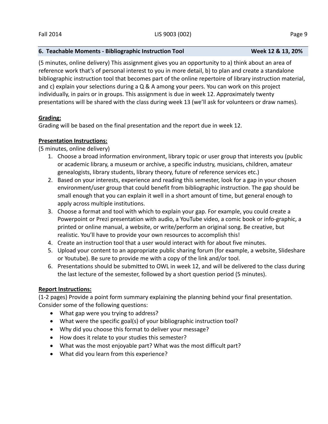# **6. Teachable Moments ‐ Bibliographic Instruction Tool Week 12 & 13, 20%**

(5 minutes, online delivery) This assignment gives you an opportunity to a) think about an area of reference work that's of personal interest to you in more detail, b) to plan and create a standalone bibliographic instruction tool that becomes part of the online repertoire of library instruction material, and c) explain your selections during a Q & A among your peers. You can work on this project individually, in pairs or in groups. This assignment is due in week 12. Approximately twenty presentations will be shared with the class during week 13 (we'll ask for volunteers or draw names).

### **Grading:**

Grading will be based on the final presentation and the report due in week 12.

# **Presentation Instructions:**

(5 minutes, online delivery)

- 1. Choose a broad information environment, library topic or user group that interests you (public or academic library, a museum or archive, a specific industry, musicians, children, amateur genealogists, library students, library theory, future of reference services etc.)
- 2. Based on your interests, experience and reading this semester, look for a gap in your chosen environment/user group that could benefit from bibliographic instruction. The gap should be small enough that you can explain it well in a short amount of time, but general enough to apply across multiple institutions.
- 3. Choose a format and tool with which to explain your gap. For example, you could create a Powerpoint or Prezi presentation with audio, a YouTube video, a comic book or info‐graphic, a printed or online manual, a website, or write/perform an original song. Be creative, but realistic. You'll have to provide your own resources to accomplish this!
- 4. Create an instruction tool that a user would interact with for about five minutes.
- 5. Upload your content to an appropriate public sharing forum (for example, a website, Slideshare or Youtube). Be sure to provide me with a copy of the link and/or tool.
- 6. Presentations should be submitted to OWL in week 12, and will be delivered to the class during the last lecture of the semester, followed by a short question period (5 minutes).

### **Report Instructions:**

(1‐2 pages) Provide a point form summary explaining the planning behind your final presentation. Consider some of the following questions:

- What gap were you trying to address?
- What were the specific goal(s) of your bibliographic instruction tool?
- Why did you choose this format to deliver your message?
- How does it relate to your studies this semester?
- What was the most enjoyable part? What was the most difficult part?
- What did you learn from this experience?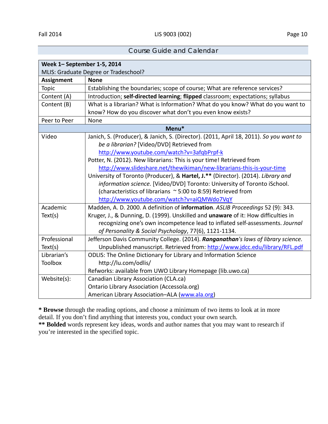# Course Guide and Calendar

| Week 1- September 1-5, 2014           |                                                                                        |  |
|---------------------------------------|----------------------------------------------------------------------------------------|--|
| MLIS: Graduate Degree or Tradeschool? |                                                                                        |  |
| <b>Assignment</b>                     | <b>None</b>                                                                            |  |
| <b>Topic</b>                          | Establishing the boundaries; scope of course; What are reference services?             |  |
| Content (A)                           | Introduction; self-directed learning; flipped classroom; expectations; syllabus        |  |
| Content (B)                           | What is a librarian? What is Information? What do you know? What do you want to        |  |
|                                       | know? How do you discover what don't you even know exists?                             |  |
| Peer to Peer                          | None                                                                                   |  |
|                                       | Menu*                                                                                  |  |
| Video                                 | Janich, S. (Producer), & Janich, S. (Director). (2011, April 18, 2011). So you want to |  |
|                                       | be a librarian? [Video/DVD] Retrieved from                                             |  |
|                                       | http://www.youtube.com/watch?v=3afqbPrpf-k                                             |  |
|                                       | Potter, N. (2012). New librarians: This is your time! Retrieved from                   |  |
|                                       | http://www.slideshare.net/thewikiman/new-librarians-this-is-your-time                  |  |
|                                       | University of Toronto (Producer), & Hartel, J.** (Director). (2014). Library and       |  |
|                                       | information science. [Video/DVD] Toronto: University of Toronto iSchool.               |  |
|                                       | (characteristics of librarians ~ 5:00 to 8:59) Retrieved from                          |  |
|                                       | http://www.youtube.com/watch?v=aiQMWdo7VqY                                             |  |
| Academic                              | Madden, A. D. 2000. A definition of information. ASLIB Proceedings 52 (9): 343.        |  |
| Text(s)                               | Kruger, J., & Dunning, D. (1999). Unskilled and unaware of it: How difficulties in     |  |
|                                       | recognizing one's own incompetence lead to inflated self-assessments. Journal          |  |
|                                       | of Personality & Social Psychology, 77(6), 1121-1134.                                  |  |
| Professional                          | Jefferson Davis Community College. (2014). Ranganathan's laws of library science.      |  |
| Text(s)                               | Unpublished manuscript. Retrieved from: http://www.jdcc.edu/library/RFL.pdf            |  |
| Librarian's                           | <b>ODLIS: The Online Dictionary for Library and Information Science</b>                |  |
| <b>Toolbox</b>                        | http://lu.com/odlis/                                                                   |  |
|                                       | Refworks: available from UWO Library Homepage (lib.uwo.ca)                             |  |
| Website(s):                           | Canadian Library Association (CLA.ca)                                                  |  |
|                                       | <b>Ontario Library Association (Accessola.org)</b>                                     |  |
|                                       | American Library Association-ALA (www.ala.org)                                         |  |

**\* Browse** through the reading options, and choose a minimum of two items to look at in more detail. If you don't find anything that interests you, conduct your own search.

**\*\* Bolded** words represent key ideas, words and author names that you may want to research if you're interested in the specified topic.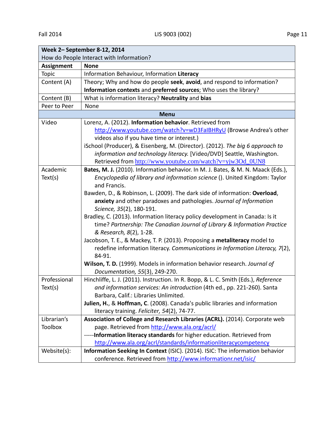| Week 2- September 8-12, 2014             |                                                                                    |  |
|------------------------------------------|------------------------------------------------------------------------------------|--|
| How do People Interact with Information? |                                                                                    |  |
| <b>Assignment</b>                        | <b>None</b>                                                                        |  |
| Topic                                    | Information Behaviour, Information Literacy                                        |  |
| Content (A)                              | Theory; Why and how do people seek, avoid, and respond to information?             |  |
|                                          | Information contexts and preferred sources; Who uses the library?                  |  |
| Content (B)                              | What is information literacy? Neutrality and bias                                  |  |
| Peer to Peer                             | None                                                                               |  |
|                                          | <b>Menu</b>                                                                        |  |
| Video                                    | Lorenz, A. (2012). Information behavior. Retrieved from                            |  |
|                                          | http://www.youtube.com/watch?v=wD3FaIBHRyU (Browse Andrea's other                  |  |
|                                          | videos also if you have time or interest.)                                         |  |
|                                          | iSchool (Producer), & Eisenberg, M. (Director). (2012). The big 6 approach to      |  |
|                                          | information and technology literacy. [Video/DVD] Seattle, Washington.              |  |
|                                          | Retrieved from http://www.youtube.com/watch?v=yjw3Od_0UN8                          |  |
| Academic                                 | Bates, M. J. (2010). Information behavior. In M. J. Bates, & M. N. Maack (Eds.),   |  |
| Text(s)                                  | Encyclopedia of library and information science (). United Kingdom: Taylor         |  |
|                                          | and Francis.                                                                       |  |
|                                          | Bawden, D., & Robinson, L. (2009). The dark side of information: Overload,         |  |
|                                          | anxiety and other paradoxes and pathologies. Journal of Information                |  |
|                                          | Science, 35(2), 180-191.                                                           |  |
|                                          | Bradley, C. (2013). Information literacy policy development in Canada: Is it       |  |
|                                          | time? Partnership: The Canadian Journal of Library & Information Practice          |  |
|                                          | & Research, 8(2), 1-28.                                                            |  |
|                                          | Jacobson, T. E., & Mackey, T. P. (2013). Proposing a metaliteracy model to         |  |
|                                          | redefine information literacy. Communications in Information Literacy, 7(2),       |  |
|                                          | 84-91.                                                                             |  |
|                                          | Wilson, T. D. (1999). Models in information behavior research. Journal of          |  |
|                                          | Documentation, 55(3), 249-270.                                                     |  |
| Professional                             | Hinchliffe, L. J. (2011). Instruction. In R. Bopp, & L. C. Smith (Eds.), Reference |  |
| Text(s)                                  | and information services: An introduction (4th ed., pp. 221-260). Santa            |  |
|                                          | Barbara, Calif.: Libraries Unlimited.                                              |  |
|                                          | Julien, H., & Hoffman, C. (2008). Canada's public libraries and information        |  |
|                                          | literacy training. Feliciter, 54(2), 74-77.                                        |  |
| Librarian's                              | Association of College and Research Libraries (ACRL). (2014). Corporate web        |  |
| <b>Toolbox</b>                           | page. Retrieved from http://www.ala.org/acrl/                                      |  |
|                                          | -----Information literacy standards for higher education. Retrieved from           |  |
|                                          | http://www.ala.org/acrl/standards/informationliteracycompetency                    |  |
| Website(s):                              | Information Seeking In Context (ISIC). (2014). ISIC: The information behavior      |  |
|                                          | conference. Retrieved from http://www.informationr.net/isic/                       |  |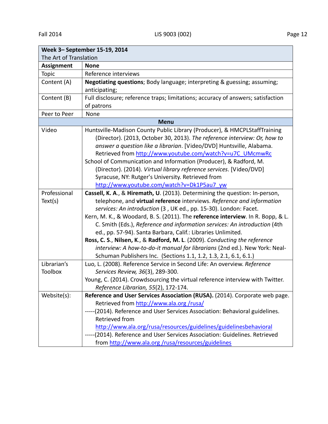| Week 3- September 15-19, 2014 |                                                                                  |  |
|-------------------------------|----------------------------------------------------------------------------------|--|
| The Art of Translation        |                                                                                  |  |
| <b>Assignment</b>             | <b>None</b>                                                                      |  |
| Topic                         | Reference interviews                                                             |  |
| Content (A)                   | <b>Negotiating questions</b> ; Body language; interpreting & guessing; assuming; |  |
|                               | anticipating;                                                                    |  |
| Content (B)                   | Full disclosure; reference traps; limitations; accuracy of answers; satisfaction |  |
|                               | of patrons                                                                       |  |
| Peer to Peer                  | None                                                                             |  |
|                               | <b>Menu</b>                                                                      |  |
| Video                         | Huntsville-Madison County Public Library (Producer), & HMCPLStaffTraining        |  |
|                               | (Director). (2013, October 30, 2013). The reference interview: Or, how to        |  |
|                               | answer a question like a librarian. [Video/DVD] Huntsville, Alabama.             |  |
|                               | Retrieved from http://www.youtube.com/watch?v=u7C_UMcmwRc                        |  |
|                               | School of Communication and Information (Producer), & Radford, M.                |  |
|                               | (Director). (2014). Virtual library reference services. [Video/DVD]              |  |
|                               | Syracuse, NY: Rutger's University. Retrieved from                                |  |
|                               | http://www.youtube.com/watch?v=Dk1P5au7 yw                                       |  |
| Professional                  | Cassell, K. A., & Hiremath, U. (2013). Determining the question: In-person,      |  |
| Text(s)                       | telephone, and virtual reference interviews. Reference and information           |  |
|                               | services: An introduction (3, UK ed., pp. 15-30). London: Facet.                 |  |
|                               | Kern, M. K., & Woodard, B. S. (2011). The reference interview. In R. Bopp, & L.  |  |
|                               | C. Smith (Eds.), Reference and information services: An introduction (4th        |  |
|                               | ed., pp. 57-94). Santa Barbara, Calif.: Libraries Unlimited.                     |  |
|                               | Ross, C. S., Nilsen, K., & Radford, M. L. (2009). Conducting the reference       |  |
|                               | interview: A how-to-do-it manual for librarians (2nd ed.). New York: Neal-       |  |
|                               | Schuman Publishers Inc. (Sections 1.1, 1.2, 1.3, 2.1, 6.1, 6.1.)                 |  |
| Librarian's                   | Luo, L. (2008). Reference Service in Second Life: An overview. Reference         |  |
| <b>Toolbox</b>                | Services Review, 36(3), 289-300.                                                 |  |
|                               | Young, C. (2014). Crowdsourcing the virtual reference interview with Twitter.    |  |
|                               | Reference Librarian, 55(2), 172-174.                                             |  |
| Website(s):                   | Reference and User Services Association (RUSA). (2014). Corporate web page.      |  |
|                               | Retrieved from http://www.ala.org/rusa/                                          |  |
|                               | -----(2014). Reference and User Services Association: Behavioral guidelines.     |  |
|                               | Retrieved from                                                                   |  |
|                               | http://www.ala.org/rusa/resources/guidelines/guidelinesbehavioral                |  |
|                               | (2014). Reference and User Services Association: Guidelines. Retrieved           |  |
|                               | from http://www.ala.org/rusa/resources/guidelines                                |  |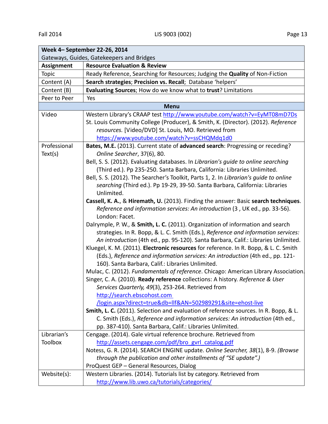| Week 4- September 22-26, 2014             |                                                                                        |  |
|-------------------------------------------|----------------------------------------------------------------------------------------|--|
| Gateways, Guides, Gatekeepers and Bridges |                                                                                        |  |
| <b>Assignment</b>                         | <b>Resource Evaluation &amp; Review</b>                                                |  |
| <b>Topic</b>                              | Ready Reference, Searching for Resources; Judging the Quality of Non-Fiction           |  |
| Content (A)                               | Search strategies; Precision vs. Recall; Database 'helpers'                            |  |
| Content (B)                               | Evaluating Sources; How do we know what to trust? Limitations                          |  |
| Peer to Peer                              | Yes                                                                                    |  |
|                                           | <b>Menu</b>                                                                            |  |
| Video                                     | Western Library's CRAAP test http://www.youtube.com/watch?v=EyMT08mD7Ds                |  |
|                                           | St. Louis Community College (Producer), & Smith, K. (Director). (2012). Reference      |  |
|                                           | resources. [Video/DVD] St. Louis, MO. Retrieved from                                   |  |
|                                           | https://www.youtube.com/watch?v=ssCHQMdq1d0                                            |  |
| Professional                              | Bates, M.E. (2013). Current state of advanced search: Progressing or receding?         |  |
| Text(s)                                   | Online Searcher, 37(6), 80.                                                            |  |
|                                           | Bell, S. S. (2012). Evaluating databases. In Librarian's guide to online searching     |  |
|                                           | (Third ed.). Pp 235-250. Santa Barbara, California: Libraries Unlimited.               |  |
|                                           | Bell, S. S. (2012). The Searcher's Toolkit, Parts 1, 2. In Librarian's guide to online |  |
|                                           | searching (Third ed.). Pp 19-29, 39-50. Santa Barbara, California: Libraries           |  |
|                                           | Unlimited.                                                                             |  |
|                                           | Cassell, K. A., & Hiremath, U. (2013). Finding the answer: Basic search techniques.    |  |
|                                           | Reference and information services: An introduction (3, UK ed., pp. 33-56).            |  |
|                                           | London: Facet.                                                                         |  |
|                                           | Dalrymple, P. W., & Smith, L. C. (2011). Organization of information and search        |  |
|                                           | strategies. In R. Bopp, & L. C. Smith (Eds.), Reference and information services:      |  |
|                                           | An introduction (4th ed., pp. 95-120). Santa Barbara, Calif.: Libraries Unlimited.     |  |
|                                           | Kluegel, K. M. (2011). Electronic resources for reference. In R. Bopp, & L. C. Smith   |  |
|                                           | (Eds.), Reference and information services: An introduction (4th ed., pp. 121-         |  |
|                                           | 160). Santa Barbara, Calif.: Libraries Unlimited.                                      |  |
|                                           | Mulac, C. (2012). Fundamentals of reference. Chicago: American Library Association.    |  |
|                                           | Singer, C. A. (2010). Ready reference collections: A history. Reference & User         |  |
|                                           | Services Quarterly, 49(3), 253-264. Retrieved from                                     |  |
|                                           | http://search.ebscohost.com                                                            |  |
|                                           | /login.aspx?direct=true&db=llf&AN=502989291&site=ehost-live                            |  |
|                                           | Smith, L. C. (2011). Selection and evaluation of reference sources. In R. Bopp, & L.   |  |
|                                           | C. Smith (Eds.), Reference and information services: An introduction (4th ed.,         |  |
|                                           | pp. 387-410). Santa Barbara, Calif.: Libraries Unlimited.                              |  |
| Librarian's                               | Cengage. (2014). Gale virtual reference brochure. Retrieved from                       |  |
| <b>Toolbox</b>                            | http://assets.cengage.com/pdf/bro gvrl catalog.pdf                                     |  |
|                                           | Notess, G. R. (2014). SEARCH ENGINE update. Online Searcher, 38(1), 8-9. (Browse       |  |
|                                           | through the publication and other installments of "SE update".)                        |  |
|                                           | ProQuest GEP - General Resources, Dialog                                               |  |
| Website(s):                               | Western Libraries. (2014). Tutorials list by category. Retrieved from                  |  |
|                                           | http://www.lib.uwo.ca/tutorials/categories/                                            |  |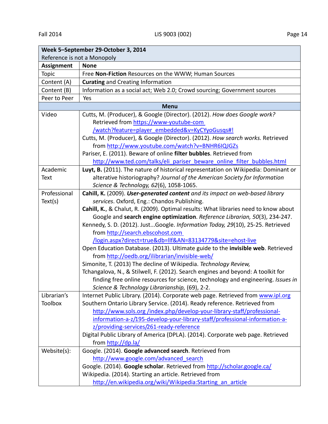| Week 5-September 29-October 3, 2014 |                                                                                     |  |
|-------------------------------------|-------------------------------------------------------------------------------------|--|
| Reference is not a Monopoly         |                                                                                     |  |
| <b>Assignment</b>                   | <b>None</b>                                                                         |  |
| Topic                               | Free Non-Fiction Resources on the WWW; Human Sources                                |  |
| Content (A)                         | <b>Curating and Creating Information</b>                                            |  |
| Content (B)                         | Information as a social act; Web 2.0; Crowd sourcing; Government sources            |  |
| Peer to Peer                        | Yes                                                                                 |  |
|                                     | <b>Menu</b>                                                                         |  |
| Video                               | Cutts, M. (Producer), & Google (Director). (2012). How does Google work?            |  |
|                                     | Retrieved from https://www-youtube-com                                              |  |
|                                     | /watch?feature=player_embedded&v=KyCYyoGusgs#!                                      |  |
|                                     | Cutts, M. (Producer), & Google (Director). (2012). How search works. Retrieved      |  |
|                                     | from http://www.youtube.com/watch?v=BNHR6IQJGZs                                     |  |
|                                     | Pariser, E. (2011). Beware of online filter bubbles. Retrieved from                 |  |
|                                     | http://www.ted.com/talks/eli pariser beware online filter bubbles.html              |  |
| Academic                            | Luyt, B. (2011). The nature of historical representation on Wikipedia: Dominant or  |  |
| Text                                | alterative historiography? Journal of the American Society for Information          |  |
|                                     | Science & Technology, 62(6), 1058-1065.                                             |  |
| Professional                        | Cahill, K. (2009). User-generated content and its impact on web-based library       |  |
| Text(s)                             | services. Oxford, Eng.: Chandos Publishing.                                         |  |
|                                     | Cahill, K., & Chalut, R. (2009). Optimal results: What libraries need to know about |  |
|                                     | Google and search engine optimization. Reference Librarian, 50(3), 234-247.         |  |
|                                     | Kennedy, S. D. (2012). JustGoogle. Information Today, 29(10), 25-25. Retrieved      |  |
|                                     | from http://search.ebscohost.com                                                    |  |
|                                     | /login.aspx?direct=true&db=llf&AN=83134779&site=ehost-live                          |  |
|                                     | Open Education Database. (2013). Ultimate guide to the invisible web. Retrieved     |  |
|                                     | from http://oedb.org/ilibrarian/invisible-web/                                      |  |
|                                     | Simonite, T. (2013) The decline of Wikipedia. Technology Review,                    |  |
|                                     | Tchangalova, N., & Stilwell, F. (2012). Search engines and beyond: A toolkit for    |  |
|                                     | finding free online resources for science, technology and engineering. Issues in    |  |
|                                     | Science & Technology Librarianship, (69), 2-2.                                      |  |
| Librarian's                         | Internet Public Library. (2014). Corporate web page. Retrieved from www.ipl.org     |  |
| <b>Toolbox</b>                      | Southern Ontario Library Service. (2014). Ready reference. Retrieved from           |  |
|                                     | http://www.sols.org/index.php/develop-your-library-staff/professional-              |  |
|                                     | information-a-z/195-develop-your-library-staff/professional-information-a-          |  |
|                                     | z/providing-services/261-ready-reference                                            |  |
|                                     | Digital Public Library of America (DPLA). (2014). Corporate web page. Retrieved     |  |
|                                     | from http://dp.la/                                                                  |  |
| Website(s):                         | Google. (2014). Google advanced search. Retrieved from                              |  |
|                                     | http://www.google.com/advanced search                                               |  |
|                                     | Google. (2014). Google scholar. Retrieved from http://scholar.google.ca/            |  |
|                                     | Wikipedia. (2014). Starting an article. Retrieved from                              |  |
|                                     | http://en.wikipedia.org/wiki/Wikipedia:Starting an article                          |  |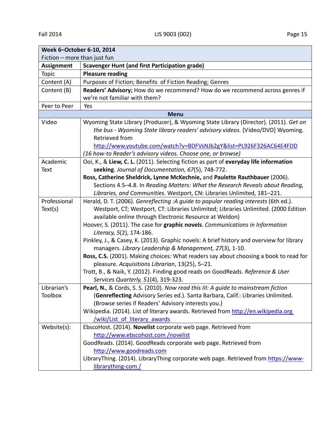| Week 6-October 6-10, 2014    |                                                                                                                                                                                                                                                                                                                                                                                                                                                                                                                                                                                                                                                                                                                                                                                   |  |
|------------------------------|-----------------------------------------------------------------------------------------------------------------------------------------------------------------------------------------------------------------------------------------------------------------------------------------------------------------------------------------------------------------------------------------------------------------------------------------------------------------------------------------------------------------------------------------------------------------------------------------------------------------------------------------------------------------------------------------------------------------------------------------------------------------------------------|--|
| Fiction - more than just fun |                                                                                                                                                                                                                                                                                                                                                                                                                                                                                                                                                                                                                                                                                                                                                                                   |  |
| <b>Assignment</b>            | <b>Scavenger Hunt (and first Participation grade)</b>                                                                                                                                                                                                                                                                                                                                                                                                                                                                                                                                                                                                                                                                                                                             |  |
| Topic                        | <b>Pleasure reading</b>                                                                                                                                                                                                                                                                                                                                                                                                                                                                                                                                                                                                                                                                                                                                                           |  |
| Content (A)                  | Purposes of Fiction; Benefits of Fiction Reading; Genres                                                                                                                                                                                                                                                                                                                                                                                                                                                                                                                                                                                                                                                                                                                          |  |
| Content (B)                  | Readers' Advisory; How do we recommend? How do we recommend across genres if                                                                                                                                                                                                                                                                                                                                                                                                                                                                                                                                                                                                                                                                                                      |  |
|                              | we're not familiar with them?                                                                                                                                                                                                                                                                                                                                                                                                                                                                                                                                                                                                                                                                                                                                                     |  |
| Peer to Peer                 | Yes                                                                                                                                                                                                                                                                                                                                                                                                                                                                                                                                                                                                                                                                                                                                                                               |  |
|                              | <b>Menu</b>                                                                                                                                                                                                                                                                                                                                                                                                                                                                                                                                                                                                                                                                                                                                                                       |  |
| Video                        | Wyoming State Library (Producer), & Wyoming State Library (Director). (2011). Get on<br>the bus - Wyoming State library readers' advisory videos. [Video/DVD] Wyoming.<br>Retrieved from<br>http://www.youtube.com/watch?v=BDFVsNJb2gY&list=PL926F326AC64E4FDD                                                                                                                                                                                                                                                                                                                                                                                                                                                                                                                    |  |
|                              | (16 how-to Reader's advisory videos. Choose one, or browse)                                                                                                                                                                                                                                                                                                                                                                                                                                                                                                                                                                                                                                                                                                                       |  |
| Academic<br>Text             | Ooi, K., & Liew, C. L. (2011). Selecting fiction as part of everyday life information<br>seeking. Journal of Documentation, 67(5), 748-772.                                                                                                                                                                                                                                                                                                                                                                                                                                                                                                                                                                                                                                       |  |
|                              | Ross, Catherine Sheldrick, Lynne McKechnie, and Paulette Rauthbauer (2006).<br>Sections 4.5-4.8. In Reading Matters: What the Research Reveals about Reading,<br>Libraries, and Communities. Westport, CN: Libraries Unlimited, 181-221.                                                                                                                                                                                                                                                                                                                                                                                                                                                                                                                                          |  |
| Professional<br>Text(s)      | Herald, D. T. (2006). Genreflecting :A guide to popular reading interests (6th ed.).<br>Westport, CT; Westport, CT: Libraries Unlimited; Libraries Unlimited. (2000 Edition<br>available online through Electronic Resource at Weldon)<br>Hoover, S. (2011). The case for graphic novels. Communications in Information<br>Literacy, 5(2), 174-186.<br>Pinkley, J., & Casey, K. (2013). Graphic novels: A brief history and overview for library<br>managers. Library Leadership & Management, 27(3), 1-10.<br>Ross, C.S. (2001). Making choices: What readers say about choosing a book to read for<br>pleasure. Acquisitions Librarian, 13(25), 5-21.<br>Trott, B., & Naik, Y. (2012). Finding good reads on GoodReads. Reference & User<br>Services Quarterly, 51(4), 319-323. |  |
| Librarian's<br>Toolbox       | Pearl, N., & Cords, S. S. (2010). Now read this III: A quide to mainstream fiction<br>(Genreflecting Advisory Series ed.). Santa Barbara, Calif.: Libraries Unlimited.<br>(Browse series if Readers' Advisory interests you.)<br>Wikipedia. (2014). List of literary awards. Retrieved from http://en.wikipedia.org<br>/wiki/List of literary awards                                                                                                                                                                                                                                                                                                                                                                                                                              |  |
| Website(s):                  | EbscoHost. (2014). Novelist corporate web page. Retrieved from<br>http://www.ebscohost.com/novelist<br>GoodReads. (2014). GoodReads corporate web page. Retrieved from<br>http://www.goodreads.com<br>LibraryThing. (2014). LibraryThing corporate web page. Retrieved from https://www-<br>librarything-com /                                                                                                                                                                                                                                                                                                                                                                                                                                                                    |  |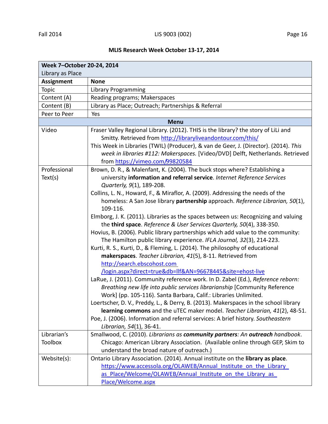# **MLIS Research Week October 13‐17, 2014**

| Week 7-October 20-24, 2014 |                                                                                                                                                                                                                                                                                                                                                                                                                                                                                                                                                                                                                                                                                                                                                                                                                                                                                                                                                                                                                                                                                                                                                                                                                                                                                                                                                                                                                                                                                                             |  |  |
|----------------------------|-------------------------------------------------------------------------------------------------------------------------------------------------------------------------------------------------------------------------------------------------------------------------------------------------------------------------------------------------------------------------------------------------------------------------------------------------------------------------------------------------------------------------------------------------------------------------------------------------------------------------------------------------------------------------------------------------------------------------------------------------------------------------------------------------------------------------------------------------------------------------------------------------------------------------------------------------------------------------------------------------------------------------------------------------------------------------------------------------------------------------------------------------------------------------------------------------------------------------------------------------------------------------------------------------------------------------------------------------------------------------------------------------------------------------------------------------------------------------------------------------------------|--|--|
| Library as Place           |                                                                                                                                                                                                                                                                                                                                                                                                                                                                                                                                                                                                                                                                                                                                                                                                                                                                                                                                                                                                                                                                                                                                                                                                                                                                                                                                                                                                                                                                                                             |  |  |
| <b>Assignment</b>          | <b>None</b>                                                                                                                                                                                                                                                                                                                                                                                                                                                                                                                                                                                                                                                                                                                                                                                                                                                                                                                                                                                                                                                                                                                                                                                                                                                                                                                                                                                                                                                                                                 |  |  |
| Topic                      | <b>Library Programming</b>                                                                                                                                                                                                                                                                                                                                                                                                                                                                                                                                                                                                                                                                                                                                                                                                                                                                                                                                                                                                                                                                                                                                                                                                                                                                                                                                                                                                                                                                                  |  |  |
| Content (A)                | Reading programs; Makerspaces                                                                                                                                                                                                                                                                                                                                                                                                                                                                                                                                                                                                                                                                                                                                                                                                                                                                                                                                                                                                                                                                                                                                                                                                                                                                                                                                                                                                                                                                               |  |  |
| Content (B)                | Library as Place; Outreach; Partnerships & Referral                                                                                                                                                                                                                                                                                                                                                                                                                                                                                                                                                                                                                                                                                                                                                                                                                                                                                                                                                                                                                                                                                                                                                                                                                                                                                                                                                                                                                                                         |  |  |
| Peer to Peer               | Yes                                                                                                                                                                                                                                                                                                                                                                                                                                                                                                                                                                                                                                                                                                                                                                                                                                                                                                                                                                                                                                                                                                                                                                                                                                                                                                                                                                                                                                                                                                         |  |  |
|                            | <b>Menu</b>                                                                                                                                                                                                                                                                                                                                                                                                                                                                                                                                                                                                                                                                                                                                                                                                                                                                                                                                                                                                                                                                                                                                                                                                                                                                                                                                                                                                                                                                                                 |  |  |
| Video                      | Fraser Valley Regional Library. (2012). THIS is the library? the story of LiLi and<br>Smitty. Retrieved from http://libraryliveandontour.com/this/<br>This Week in Libraries (TWIL) (Producer), & van de Geer, J. (Director). (2014). This<br>week in libraries #112: Makerspaces. [Video/DVD] Delft, Netherlands. Retrieved                                                                                                                                                                                                                                                                                                                                                                                                                                                                                                                                                                                                                                                                                                                                                                                                                                                                                                                                                                                                                                                                                                                                                                                |  |  |
| Professional<br>Text(s)    | from https://vimeo.com/99820584<br>Brown, D. R., & Malenfant, K. (2004). The buck stops where? Establishing a<br>university information and referral service. Internet Reference Services<br>Quarterly, 9(1), 189-208.<br>Collins, L. N., Howard, F., & Miraflor, A. (2009). Addressing the needs of the<br>homeless: A San Jose library partnership approach. Reference Librarian, 50(1),<br>109-116.<br>Elmborg, J. K. (2011). Libraries as the spaces between us: Recognizing and valuing<br>the third space. Reference & User Services Quarterly, 50(4), 338-350.<br>Hovius, B. (2006). Public library partnerships which add value to the community:<br>The Hamilton public library experience. IFLA Journal, 32(3), 214-223.<br>Kurti, R. S., Kurti, D., & Fleming, L. (2014). The philosophy of educational<br>makerspaces. Teacher Librarian, 41(5), 8-11. Retrieved from<br>http://search.ebscohost.com<br>/login.aspx?direct=true&db=llf&AN=96678445&site=ehost-live<br>LaRue, J. (2011). Community reference work. In D. Zabel (Ed.), Reference reborn:<br>Breathing new life into public services librarianship [Community Reference<br>Work] (pp. 105-116). Santa Barbara, Calif.: Libraries Unlimited.<br>Loertscher, D. V., Preddy, L., & Derry, B. (2013). Makerspaces in the school library<br>learning commons and the uTEC maker model. Teacher Librarian, 41(2), 48-51.<br>Poe, J. (2006). Information and referral services: A brief history. Southeastern<br>Librarian, 54(1), 36-41. |  |  |
| Librarian's                | Smallwood, C. (2010). Librarians as community partners: An outreach handbook.                                                                                                                                                                                                                                                                                                                                                                                                                                                                                                                                                                                                                                                                                                                                                                                                                                                                                                                                                                                                                                                                                                                                                                                                                                                                                                                                                                                                                               |  |  |
| <b>Toolbox</b>             | Chicago: American Library Association. (Available online through GEP, Skim to<br>understand the broad nature of outreach.)                                                                                                                                                                                                                                                                                                                                                                                                                                                                                                                                                                                                                                                                                                                                                                                                                                                                                                                                                                                                                                                                                                                                                                                                                                                                                                                                                                                  |  |  |
| Website(s):                | Ontario Library Association. (2014). Annual institute on the library as place.<br>https://www.accessola.org/OLAWEB/Annual Institute on the Library<br>as Place/Welcome/OLAWEB/Annual Institute on the Library as<br>Place/Welcome.aspx                                                                                                                                                                                                                                                                                                                                                                                                                                                                                                                                                                                                                                                                                                                                                                                                                                                                                                                                                                                                                                                                                                                                                                                                                                                                      |  |  |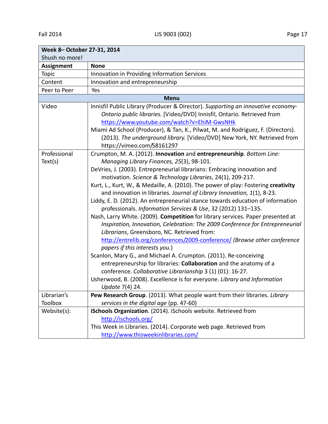| Week 8-October 27-31, 2014 |                                                                                                                                                                                                                                                                                                                                                                                                                                                                                                                                                                                                                                                                                                                                                                                                                                                                                                                                                                                                                                                                                     |  |
|----------------------------|-------------------------------------------------------------------------------------------------------------------------------------------------------------------------------------------------------------------------------------------------------------------------------------------------------------------------------------------------------------------------------------------------------------------------------------------------------------------------------------------------------------------------------------------------------------------------------------------------------------------------------------------------------------------------------------------------------------------------------------------------------------------------------------------------------------------------------------------------------------------------------------------------------------------------------------------------------------------------------------------------------------------------------------------------------------------------------------|--|
| Shush no more!             |                                                                                                                                                                                                                                                                                                                                                                                                                                                                                                                                                                                                                                                                                                                                                                                                                                                                                                                                                                                                                                                                                     |  |
| <b>Assignment</b>          | <b>None</b>                                                                                                                                                                                                                                                                                                                                                                                                                                                                                                                                                                                                                                                                                                                                                                                                                                                                                                                                                                                                                                                                         |  |
| Topic                      | Innovation in Providing Information Services                                                                                                                                                                                                                                                                                                                                                                                                                                                                                                                                                                                                                                                                                                                                                                                                                                                                                                                                                                                                                                        |  |
| Content                    | Innovation and entrepreneurship                                                                                                                                                                                                                                                                                                                                                                                                                                                                                                                                                                                                                                                                                                                                                                                                                                                                                                                                                                                                                                                     |  |
| Peer to Peer               | Yes                                                                                                                                                                                                                                                                                                                                                                                                                                                                                                                                                                                                                                                                                                                                                                                                                                                                                                                                                                                                                                                                                 |  |
|                            | <b>Menu</b>                                                                                                                                                                                                                                                                                                                                                                                                                                                                                                                                                                                                                                                                                                                                                                                                                                                                                                                                                                                                                                                                         |  |
| Video                      | Innisfil Public Library (Producer & Director). Supporting an innovative economy-<br>Ontario public libraries. [Video/DVD] Innisfil, Ontario. Retrieved from<br>https://www.youtube.com/watch?v=EhiM-GwsNHk<br>Miami Ad School (Producer), & Tan, K., Pilwat, M. and Rodriguez, F. (Directors).<br>(2013). The underground library. [Video/DVD] New York, NY. Retrieved from<br>https://vimeo.com/58161297                                                                                                                                                                                                                                                                                                                                                                                                                                                                                                                                                                                                                                                                           |  |
| Professional               | Crumpton, M. A. (2012). Innovation and entrepreneurship. Bottom Line:                                                                                                                                                                                                                                                                                                                                                                                                                                                                                                                                                                                                                                                                                                                                                                                                                                                                                                                                                                                                               |  |
| Text(s)                    | Managing Library Finances, 25(3), 98-101.                                                                                                                                                                                                                                                                                                                                                                                                                                                                                                                                                                                                                                                                                                                                                                                                                                                                                                                                                                                                                                           |  |
|                            | DeVries, J. (2003). Entrepreneurial librarians: Embracing innovation and<br>motivation. Science & Technology Libraries, 24(1), 209-217.<br>Kurt, L., Kurt, W., & Medaille, A. (2010). The power of play: Fostering creativity<br>and innovation in libraries. Journal of Library Innovation, 1(1), 8-23.<br>Liddy, E. D. (2012). An entrepreneurial stance towards education of information<br>professionals. Information Services & Use, 32 (2012) 131-135.<br>Nash, Larry White. (2009). Competition for library services. Paper presented at<br>Inspiration, Innovation, Celebration: The 2009 Conference for Entrepreneurial<br>Librarians, Greensboro, NC. Retrieved from:<br>http://entrelib.org/conferences/2009-conference/ (Browse other conference<br>papers if this interests you.)<br>Scanlon, Mary G., and Michael A. Crumpton. (2011). Re-conceiving<br>entrepreneurship for libraries: Collaboration and the anatomy of a<br>conference. Collaborative Librarianship 3 (1) (01): 16-27.<br>Usherwood, B. (2008). Excellence is for everyone. Library and Information |  |
|                            | Update 7(4) 24.                                                                                                                                                                                                                                                                                                                                                                                                                                                                                                                                                                                                                                                                                                                                                                                                                                                                                                                                                                                                                                                                     |  |
| Librarian's                | Pew Research Group. (2013). What people want from their libraries. Library                                                                                                                                                                                                                                                                                                                                                                                                                                                                                                                                                                                                                                                                                                                                                                                                                                                                                                                                                                                                          |  |
| Toolbox                    | services in the digital age (pp. 47-60)                                                                                                                                                                                                                                                                                                                                                                                                                                                                                                                                                                                                                                                                                                                                                                                                                                                                                                                                                                                                                                             |  |
| Website(s):                | iSchools Organization. (2014). iSchools website. Retrieved from<br>http://ischools.org/<br>This Week in Libraries. (2014). Corporate web page. Retrieved from<br>http://www.thisweekinlibraries.com/                                                                                                                                                                                                                                                                                                                                                                                                                                                                                                                                                                                                                                                                                                                                                                                                                                                                                |  |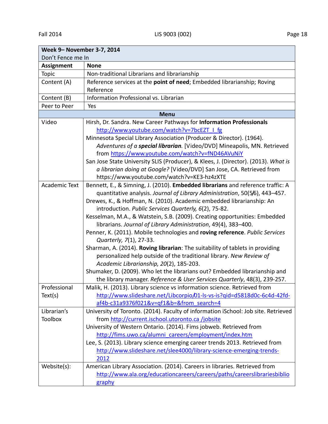| Week 9- November 3-7, 2014 |                                                                                    |  |
|----------------------------|------------------------------------------------------------------------------------|--|
| Don't Fence me In          |                                                                                    |  |
| <b>Assignment</b>          | <b>None</b>                                                                        |  |
| Topic                      | Non-traditional Librarians and librarianship                                       |  |
| Content (A)                | Reference services at the point of need; Embedded librarianship; Roving            |  |
|                            | Reference                                                                          |  |
| Content (B)                | Information Professional vs. Librarian                                             |  |
| Peer to Peer               | Yes                                                                                |  |
|                            | <b>Menu</b>                                                                        |  |
| Video                      | Hirsh, Dr. Sandra. New Career Pathways for Information Professionals               |  |
|                            | http://www.youtube.com/watch?v=7bcEZT   fg                                         |  |
|                            | Minnesota Special Library Association (Producer & Director). (1964).               |  |
|                            | Adventures of a special librarian. [Video/DVD] Mineapolis, MN. Retrieved           |  |
|                            | from https://www.youtube.com/watch?v=fND46AVuNiY                                   |  |
|                            | San Jose State University SLIS (Producer), & Klees, J. (Director). (2013). What is |  |
|                            | a librarian doing at Google? [Video/DVD] San Jose, CA. Retrieved from              |  |
|                            | https://www.youtube.com/watch?v=KE3-hz4zXTE                                        |  |
| <b>Academic Text</b>       | Bennett, E., & Simning, J. (2010). Embedded librarians and reference traffic: A    |  |
|                            | quantitative analysis. Journal of Library Administration, 50(5/6), 443-457.        |  |
|                            | Drewes, K., & Hoffman, N. (2010). Academic embedded librarianship: An              |  |
|                            | introduction. Public Services Quarterly, 6(2), 75-82.                              |  |
|                            | Kesselman, M.A., & Watstein, S.B. (2009). Creating opportunities: Embedded         |  |
|                            | librarians. Journal of Library Administration, 49(4), 383-400.                     |  |
|                            | Penner, K. (2011). Mobile technologies and roving reference. Public Services       |  |
|                            | Quarterly, 7(1), 27-33.                                                            |  |
|                            | Sharman, A. (2014). Roving librarian: The suitability of tablets in providing      |  |
|                            | personalized help outside of the traditional library. New Review of                |  |
|                            | Academic Librarianship, 20(2), 185-203.                                            |  |
|                            | Shumaker, D. (2009). Who let the librarians out? Embedded librarianship and        |  |
|                            | the library manager. Reference & User Services Quarterly, 48(3), 239-257.          |  |
| Professional               | Malik, H. (2013). Library science vs information science. Retrieved from           |  |
| Text(s)                    | http://www.slideshare.net/Libcorpio/01-ls-vs-is?qid=d5818d0c-6c4d-42fd-            |  |
|                            | af4b-c31a9376f021&v=qf1&b=&from search=4                                           |  |
| Librarian's                | University of Toronto. (2014). Faculty of information iSchool: Job site. Retrieved |  |
| <b>Toolbox</b>             | from http://current.ischool.utoronto.ca/jobsite                                    |  |
|                            | University of Western Ontario. (2014). Fims jobweb. Retrieved from                 |  |
|                            | http://fims.uwo.ca/alumni careers/employment/index.htm                             |  |
|                            | Lee, S. (2013). Library science emerging career trends 2013. Retrieved from        |  |
|                            | http://www.slideshare.net/slee4000/library-science-emerging-trends-                |  |
|                            | 2012                                                                               |  |
| Website(s):                | American Library Association. (2014). Careers in libraries. Retrieved from         |  |
|                            | http://www.ala.org/educationcareers/careers/paths/careerslibrariesbiblio           |  |
|                            | graphy                                                                             |  |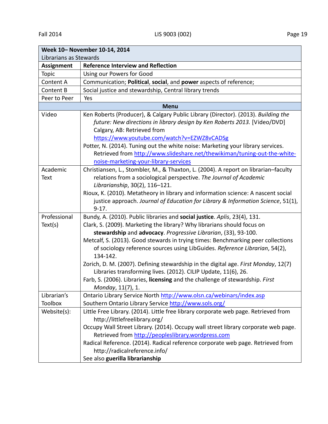| Week 10- November 10-14, 2014 |                                                                                                                                       |  |  |
|-------------------------------|---------------------------------------------------------------------------------------------------------------------------------------|--|--|
| Librarians as Stewards        |                                                                                                                                       |  |  |
| <b>Assignment</b>             | <b>Reference Interview and Reflection</b>                                                                                             |  |  |
| Topic                         | Using our Powers for Good                                                                                                             |  |  |
| Content A                     | Communication; Political, social, and power aspects of reference;                                                                     |  |  |
| Content B                     | Social justice and stewardship, Central library trends                                                                                |  |  |
| Peer to Peer                  | Yes                                                                                                                                   |  |  |
|                               | <b>Menu</b>                                                                                                                           |  |  |
| Video                         | Ken Roberts (Producer), & Calgary Public Library (Director). (2013). Building the                                                     |  |  |
|                               | future: New directions in library design by Ken Roberts 2013. [Video/DVD]                                                             |  |  |
|                               | Calgary, AB: Retrieved from                                                                                                           |  |  |
|                               | https://www.youtube.com/watch?v=EZWZ8vCADSg                                                                                           |  |  |
|                               | Potter, N. (2014). Tuning out the white noise: Marketing your library services.                                                       |  |  |
|                               | Retrieved from http://www.slideshare.net/thewikiman/tuning-out-the-white-                                                             |  |  |
|                               | noise-marketing-your-library-services                                                                                                 |  |  |
| Academic                      | Christiansen, L., Stombler, M., & Thaxton, L. (2004). A report on librarian-faculty                                                   |  |  |
| Text                          | relations from a sociological perspective. The Journal of Academic                                                                    |  |  |
|                               | Librarianship, 30(2), 116-121.                                                                                                        |  |  |
|                               | Rioux, K. (2010). Metatheory in library and information science: A nascent social                                                     |  |  |
|                               | justice approach. Journal of Education for Library & Information Science, 51(1),                                                      |  |  |
|                               | $9 - 17.$                                                                                                                             |  |  |
| Professional                  | Bundy, A. (2010). Public libraries and social justice. Aplis, 23(4), 131.                                                             |  |  |
| Text(s)                       | Clark, S. (2009). Marketing the library? Why librarians should focus on                                                               |  |  |
|                               | stewardship and advocacy. Progressive Librarian, (33), 93-100.                                                                        |  |  |
|                               | Metcalf, S. (2013). Good stewards in trying times: Benchmarking peer collections                                                      |  |  |
|                               | of sociology reference sources using LibGuides. Reference Librarian, 54(2),                                                           |  |  |
|                               | 134-142.                                                                                                                              |  |  |
|                               | Zorich, D. M. (2007). Defining stewardship in the digital age. First Monday, 12(7)                                                    |  |  |
|                               | Libraries transforming lives. (2012). CILIP Update, 11(6), 26.                                                                        |  |  |
|                               | Farb, S. (2006). Libraries, licensing and the challenge of stewardship. First                                                         |  |  |
|                               | Monday, 11(7), 1.                                                                                                                     |  |  |
| Librarian's                   | Ontario Library Service North http://www.olsn.ca/webinars/index.asp                                                                   |  |  |
| <b>Toolbox</b>                | Southern Ontario Library Service http://www.sols.org/                                                                                 |  |  |
| Website(s):                   | Little Free Library. (2014). Little free library corporate web page. Retrieved from                                                   |  |  |
|                               | http://littlefreelibrary.org/                                                                                                         |  |  |
|                               | Occupy Wall Street Library. (2014). Occupy wall street library corporate web page.                                                    |  |  |
|                               | Retrieved from http://peopleslibrary.wordpress.com<br>Radical Reference. (2014). Radical reference corporate web page. Retrieved from |  |  |
|                               | http://radicalreference.info/                                                                                                         |  |  |
|                               |                                                                                                                                       |  |  |
|                               | See also guerilla librarianship                                                                                                       |  |  |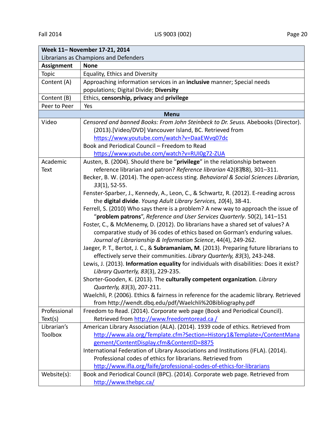| Week 11- November 17-21, 2014         |                                                                                          |  |
|---------------------------------------|------------------------------------------------------------------------------------------|--|
| Librarians as Champions and Defenders |                                                                                          |  |
| <b>Assignment</b>                     | <b>None</b>                                                                              |  |
| Topic                                 | Equality, Ethics and Diversity                                                           |  |
| Content (A)                           | Approaching information services in an inclusive manner; Special needs                   |  |
|                                       | populations; Digital Divide; Diversity                                                   |  |
| Content (B)                           | Ethics, censorship, privacy and privilege                                                |  |
| Peer to Peer                          | Yes                                                                                      |  |
| <b>Menu</b>                           |                                                                                          |  |
| Video                                 | Censored and banned Books: From John Steinbeck to Dr. Seuss. Abebooks (Director).        |  |
|                                       | (2013).[Video/DVD] Vancouver Island, BC. Retrieved from                                  |  |
|                                       | https://www.youtube.com/watch?v=DaaEWvq07dc                                              |  |
|                                       | Book and Periodical Council - Freedom to Read                                            |  |
|                                       | https://www.youtube.com/watch?v=RUI0g72-ZUA                                              |  |
| Academic                              | Austen, B. (2004). Should there be "privilege" in the relationship between               |  |
| <b>Text</b>                           | reference librarian and patron? Reference librarian 42(87/88), 301-311.                  |  |
|                                       | Becker, B. W. (2014). The open-access sting. Behavioral & Social Sciences Librarian,     |  |
|                                       | $33(1)$ , 52-55.                                                                         |  |
|                                       | Fenster-Sparber, J., Kennedy, A., Leon, C., & Schwartz, R. (2012). E-reading across      |  |
|                                       | the digital divide. Young Adult Library Services, 10(4), 38-41.                          |  |
|                                       | Ferrell, S. (2010) Who says there is a problem? A new way to approach the issue of       |  |
|                                       | "problem patrons", Reference and User Services Quarterly. 50(2), 141-151                 |  |
|                                       | Foster, C., & McMenemy, D. (2012). Do librarians have a shared set of values? A          |  |
|                                       | comparative study of 36 codes of ethics based on Gorman's enduring values.               |  |
|                                       | Journal of Librarianship & Information Science, 44(4), 249-262.                          |  |
|                                       | Jaeger, P. T., Bertot, J. C., & Subramaniam, M. (2013). Preparing future librarians to   |  |
|                                       | effectively serve their communities. Library Quarterly, 83(3), 243-248.                  |  |
|                                       | Lewis, J. (2013). Information equality for individuals with disabilities: Does it exist? |  |
|                                       | Library Quarterly, 83(3), 229-235.                                                       |  |
|                                       | Shorter-Gooden, K. (2013). The culturally competent organization. Library                |  |
|                                       | Quarterly, 83(3), 207-211.                                                               |  |
|                                       | Waelchli, P. (2006). Ethics & fairness in reference for the academic library. Retrieved  |  |
|                                       | from http://wendt.dbq.edu/pdf/Waelchli%20Bibliography.pdf                                |  |
| Professional                          | Freedom to Read. (2014). Corporate web page (Book and Periodical Council).               |  |
| Text(s)                               | Retrieved from http://www.freedomtoread.ca/                                              |  |
| Librarian's                           | American Library Association (ALA). (2014). 1939 code of ethics. Retrieved from          |  |
| <b>Toolbox</b>                        | http://www.ala.org/Template.cfm?Section=History1&Template=/ContentMana                   |  |
|                                       | gement/ContentDisplay.cfm&ContentID=8875                                                 |  |
|                                       | International Federation of Library Associations and Institutions (IFLA). (2014).        |  |
|                                       | Professional codes of ethics for librarians. Retrieved from                              |  |
|                                       | http://www.ifla.org/faife/professional-codes-of-ethics-for-librarians                    |  |
| Website(s):                           | Book and Periodical Council (BPC). (2014). Corporate web page. Retrieved from            |  |
|                                       | http://www.thebpc.ca/                                                                    |  |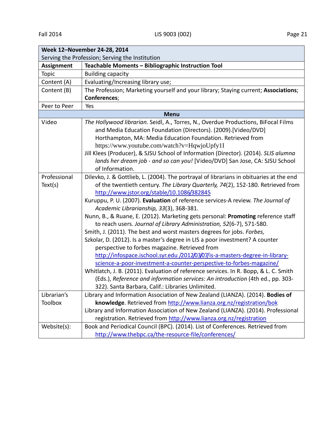| Week 12-November 24-28, 2014                    |                                                                                                                                                                                                                                                                                                                                                                                                                                                              |  |
|-------------------------------------------------|--------------------------------------------------------------------------------------------------------------------------------------------------------------------------------------------------------------------------------------------------------------------------------------------------------------------------------------------------------------------------------------------------------------------------------------------------------------|--|
| Serving the Profession; Serving the Institution |                                                                                                                                                                                                                                                                                                                                                                                                                                                              |  |
| <b>Assignment</b>                               | Teachable Moments - Bibliographic Instruction Tool                                                                                                                                                                                                                                                                                                                                                                                                           |  |
| Topic                                           | <b>Building capacity</b>                                                                                                                                                                                                                                                                                                                                                                                                                                     |  |
| Content (A)                                     | Evaluating/Increasing library use;                                                                                                                                                                                                                                                                                                                                                                                                                           |  |
| Content (B)                                     | The Profession; Marketing yourself and your library; Staying current; Associations;                                                                                                                                                                                                                                                                                                                                                                          |  |
|                                                 | Conferences;                                                                                                                                                                                                                                                                                                                                                                                                                                                 |  |
| Peer to Peer                                    | Yes                                                                                                                                                                                                                                                                                                                                                                                                                                                          |  |
| <b>Menu</b>                                     |                                                                                                                                                                                                                                                                                                                                                                                                                                                              |  |
| Video                                           | The Hollywood librarian. Seidl, A., Torres, N., Overdue Productions, BiFocal Films<br>and Media Education Foundation (Directors). (2009). [Video/DVD]<br>Horthampton, MA: Media Education Foundation. Retrieved from<br>https://www.youtube.com/watch?v=HqwjoUpfy1I<br>Jill Klees (Producer), & SJSU School of Information (Director). (2014). SLIS alumna<br>lands her dream job - and so can you! [Video/DVD] San Jose, CA: SJSU School<br>of Information. |  |
| Professional                                    | Dilevko, J. & Gottlieb, L. (2004). The portrayal of librarians in obituaries at the end                                                                                                                                                                                                                                                                                                                                                                      |  |
| Text(s)                                         | of the twentieth century. The Library Quarterly, 74(2), 152-180. Retrieved from<br>http://www.jstor.org/stable/10.1086/382845                                                                                                                                                                                                                                                                                                                                |  |
|                                                 | Kuruppu, P. U. (2007). Evaluation of reference services-A review. The Journal of                                                                                                                                                                                                                                                                                                                                                                             |  |
|                                                 | Academic Librarianship, 33(3), 368-381.<br>Nunn, B., & Ruane, E. (2012). Marketing gets personal: Promoting reference staff<br>to reach users. Journal of Library Administration, 52(6-7), 571-580.                                                                                                                                                                                                                                                          |  |
|                                                 | Smith, J. (2011). The best and worst masters degrees for jobs. Forbes,                                                                                                                                                                                                                                                                                                                                                                                       |  |
|                                                 | Szkolar, D. (2012). Is a master's degree in LIS a poor investment? A counter                                                                                                                                                                                                                                                                                                                                                                                 |  |
|                                                 | perspective to forbes magazine. Retrieved from                                                                                                                                                                                                                                                                                                                                                                                                               |  |
|                                                 | http://infospace.ischool.syr.edu /2012/03/07/is-a-masters-degree-in-library-                                                                                                                                                                                                                                                                                                                                                                                 |  |
|                                                 | science-a-poor-investment-a-counter-perspective-to-forbes-magazine/                                                                                                                                                                                                                                                                                                                                                                                          |  |
|                                                 | Whitlatch, J. B. (2011). Evaluation of reference services. In R. Bopp, & L. C. Smith                                                                                                                                                                                                                                                                                                                                                                         |  |
|                                                 | (Eds.), Reference and information services: An introduction (4th ed., pp. 303-                                                                                                                                                                                                                                                                                                                                                                               |  |
| Librarian's                                     | 322). Santa Barbara, Calif.: Libraries Unlimited.<br>Library and Information Association of New Zealand (LIANZA). (2014). Bodies of                                                                                                                                                                                                                                                                                                                          |  |
| Toolbox                                         | knowledge. Retrieved from http://www.lianza.org.nz/registration/bok                                                                                                                                                                                                                                                                                                                                                                                          |  |
|                                                 | Library and Information Association of New Zealand (LIANZA). (2014). Professional                                                                                                                                                                                                                                                                                                                                                                            |  |
|                                                 | registration. Retrieved from http://www.lianza.org.nz/registration                                                                                                                                                                                                                                                                                                                                                                                           |  |
| Website(s):                                     | Book and Periodical Council (BPC). (2014). List of Conferences. Retrieved from                                                                                                                                                                                                                                                                                                                                                                               |  |
|                                                 | http://www.thebpc.ca/the-resource-file/conferences/                                                                                                                                                                                                                                                                                                                                                                                                          |  |